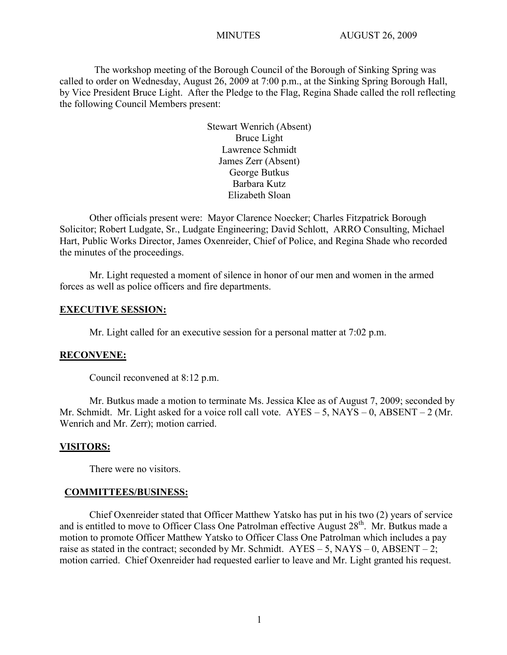The workshop meeting of the Borough Council of the Borough of Sinking Spring was called to order on Wednesday, August 26, 2009 at 7:00 p.m., at the Sinking Spring Borough Hall, by Vice President Bruce Light. After the Pledge to the Flag, Regina Shade called the roll reflecting the following Council Members present:

> Stewart Wenrich (Absent) Bruce Light Lawrence Schmidt James Zerr (Absent) George Butkus Barbara Kutz Elizabeth Sloan

Other officials present were: Mayor Clarence Noecker; Charles Fitzpatrick Borough Solicitor; Robert Ludgate, Sr., Ludgate Engineering; David Schlott, ARRO Consulting, Michael Hart, Public Works Director, James Oxenreider, Chief of Police, and Regina Shade who recorded the minutes of the proceedings.

Mr. Light requested a moment of silence in honor of our men and women in the armed forces as well as police officers and fire departments.

## **EXECUTIVE SESSION:**

Mr. Light called for an executive session for a personal matter at 7:02 p.m.

## **RECONVENE:**

Council reconvened at 8:12 p.m.

Mr. Butkus made a motion to terminate Ms. Jessica Klee as of August 7, 2009; seconded by Mr. Schmidt. Mr. Light asked for a voice roll call vote.  $AYES - 5$ ,  $NAYS - 0$ ,  $ABSENT - 2$  (Mr. Wenrich and Mr. Zerr); motion carried.

## **VISITORS:**

There were no visitors.

#### **COMMITTEES/BUSINESS:**

Chief Oxenreider stated that Officer Matthew Yatsko has put in his two (2) years of service and is entitled to move to Officer Class One Patrolman effective August 28<sup>th</sup>. Mr. Butkus made a motion to promote Officer Matthew Yatsko to Officer Class One Patrolman which includes a pay raise as stated in the contract; seconded by Mr. Schmidt.  $AYES - 5$ ,  $NAYS - 0$ ,  $ABSENT - 2$ ; motion carried. Chief Oxenreider had requested earlier to leave and Mr. Light granted his request.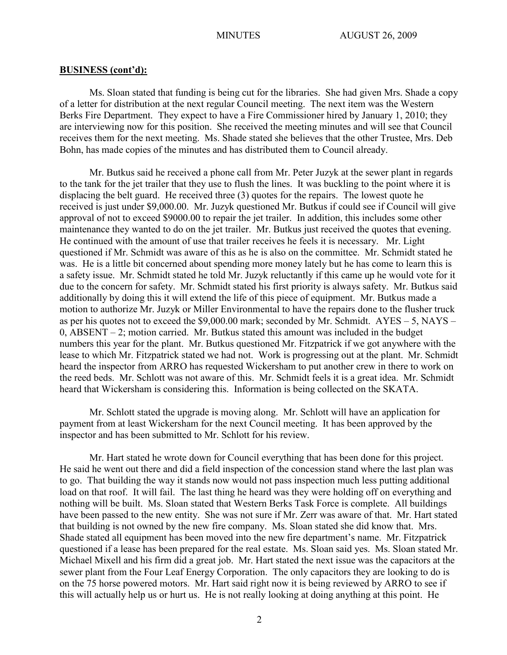Ms. Sloan stated that funding is being cut for the libraries. She had given Mrs. Shade a copy of a letter for distribution at the next regular Council meeting. The next item was the Western Berks Fire Department. They expect to have a Fire Commissioner hired by January 1, 2010; they are interviewing now for this position. She received the meeting minutes and will see that Council receives them for the next meeting. Ms. Shade stated she believes that the other Trustee, Mrs. Deb Bohn, has made copies of the minutes and has distributed them to Council already.

Mr. Butkus said he received a phone call from Mr. Peter Juzyk at the sewer plant in regards to the tank for the jet trailer that they use to flush the lines. It was buckling to the point where it is displacing the belt guard. He received three (3) quotes for the repairs. The lowest quote he received is just under \$9,000.00. Mr. Juzyk questioned Mr. Butkus if could see if Council will give approval of not to exceed \$9000.00 to repair the jet trailer. In addition, this includes some other maintenance they wanted to do on the jet trailer. Mr. Butkus just received the quotes that evening. He continued with the amount of use that trailer receives he feels it is necessary. Mr. Light questioned if Mr. Schmidt was aware of this as he is also on the committee. Mr. Schmidt stated he was. He is a little bit concerned about spending more money lately but he has come to learn this is a safety issue. Mr. Schmidt stated he told Mr. Juzyk reluctantly if this came up he would vote for it due to the concern for safety. Mr. Schmidt stated his first priority is always safety. Mr. Butkus said additionally by doing this it will extend the life of this piece of equipment. Mr. Butkus made a motion to authorize Mr. Juzyk or Miller Environmental to have the repairs done to the flusher truck as per his quotes not to exceed the \$9,000.00 mark; seconded by Mr. Schmidt. AYES – 5, NAYS –  $0, ABSENT - 2$ ; motion carried. Mr. Butkus stated this amount was included in the budget numbers this year for the plant. Mr. Butkus questioned Mr. Fitzpatrick if we got anywhere with the lease to which Mr. Fitzpatrick stated we had not. Work is progressing out at the plant. Mr. Schmidt heard the inspector from ARRO has requested Wickersham to put another crew in there to work on the reed beds. Mr. Schlott was not aware of this. Mr. Schmidt feels it is a great idea. Mr. Schmidt heard that Wickersham is considering this. Information is being collected on the SKATA.

Mr. Schlott stated the upgrade is moving along. Mr. Schlott will have an application for payment from at least Wickersham for the next Council meeting. It has been approved by the inspector and has been submitted to Mr. Schlott for his review.

Mr. Hart stated he wrote down for Council everything that has been done for this project. He said he went out there and did a field inspection of the concession stand where the last plan was to go. That building the way it stands now would not pass inspection much less putting additional load on that roof. It will fail. The last thing he heard was they were holding off on everything and nothing will be built. Ms. Sloan stated that Western Berks Task Force is complete. All buildings have been passed to the new entity. She was not sure if Mr. Zerr was aware of that. Mr. Hart stated that building is not owned by the new fire company. Ms. Sloan stated she did know that. Mrs. Shade stated all equipment has been moved into the new fire department's name. Mr. Fitzpatrick questioned if a lease has been prepared for the real estate. Ms. Sloan said yes. Ms. Sloan stated Mr. Michael Mixell and his firm did a great job. Mr. Hart stated the next issue was the capacitors at the sewer plant from the Four Leaf Energy Corporation. The only capacitors they are looking to do is on the 75 horse powered motors. Mr. Hart said right now it is being reviewed by ARRO to see if this will actually help us or hurt us. He is not really looking at doing anything at this point. He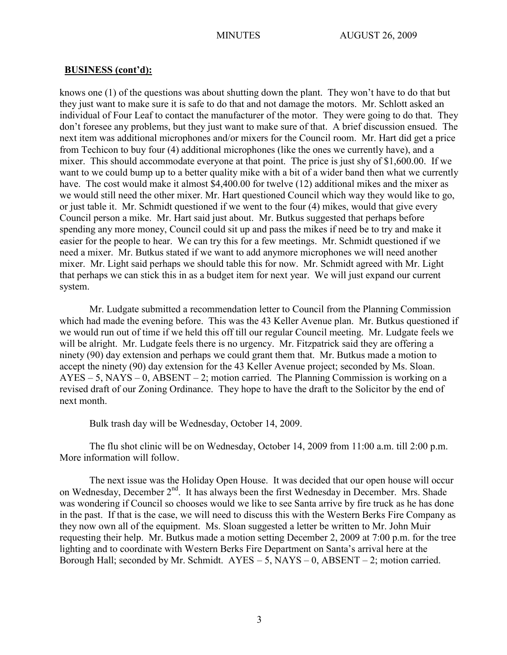knows one (1) of the questions was about shutting down the plant. They won't have to do that but they just want to make sure it is safe to do that and not damage the motors. Mr. Schlott asked an individual of Four Leaf to contact the manufacturer of the motor. They were going to do that. They don't foresee any problems, but they just want to make sure of that. A brief discussion ensued. The next item was additional microphones and/or mixers for the Council room. Mr. Hart did get a price from Techicon to buy four (4) additional microphones (like the ones we currently have), and a mixer. This should accommodate everyone at that point. The price is just shy of \$1,600.00. If we want to we could bump up to a better quality mike with a bit of a wider band then what we currently have. The cost would make it almost \$4,400.00 for twelve (12) additional mikes and the mixer as we would still need the other mixer. Mr. Hart questioned Council which way they would like to go, or just table it. Mr. Schmidt questioned if we went to the four (4) mikes, would that give every Council person a mike. Mr. Hart said just about. Mr. Butkus suggested that perhaps before spending any more money, Council could sit up and pass the mikes if need be to try and make it easier for the people to hear. We can try this for a few meetings. Mr. Schmidt questioned if we need a mixer. Mr. Butkus stated if we want to add anymore microphones we will need another mixer. Mr. Light said perhaps we should table this for now. Mr. Schmidt agreed with Mr. Light that perhaps we can stick this in as a budget item for next year. We will just expand our current system.

Mr. Ludgate submitted a recommendation letter to Council from the Planning Commission which had made the evening before. This was the 43 Keller Avenue plan. Mr. Butkus questioned if we would run out of time if we held this off till our regular Council meeting. Mr. Ludgate feels we will be alright. Mr. Ludgate feels there is no urgency. Mr. Fitzpatrick said they are offering a ninety (90) day extension and perhaps we could grant them that. Mr. Butkus made a motion to accept the ninety (90) day extension for the 43 Keller Avenue project; seconded by Ms. Sloan.  $AYES - 5$ ,  $NAYS - 0$ ,  $ABSENT - 2$ ; motion carried. The Planning Commission is working on a revised draft of our Zoning Ordinance. They hope to have the draft to the Solicitor by the end of next month.

Bulk trash day will be Wednesday, October 14, 2009.

The flu shot clinic will be on Wednesday, October 14, 2009 from 11:00 a.m. till 2:00 p.m. More information will follow.

The next issue was the Holiday Open House. It was decided that our open house will occur on Wednesday, December 2<sup>nd</sup>. It has always been the first Wednesday in December. Mrs. Shade was wondering if Council so chooses would we like to see Santa arrive by fire truck as he has done in the past. If that is the case, we will need to discuss this with the Western Berks Fire Company as they now own all of the equipment. Ms. Sloan suggested a letter be written to Mr. John Muir requesting their help. Mr. Butkus made a motion setting December 2, 2009 at 7:00 p.m. for the tree lighting and to coordinate with Western Berks Fire Department on Santa's arrival here at the Borough Hall; seconded by Mr. Schmidt.  $AYES - 5$ ,  $NAYS - 0$ ,  $ABSENT - 2$ ; motion carried.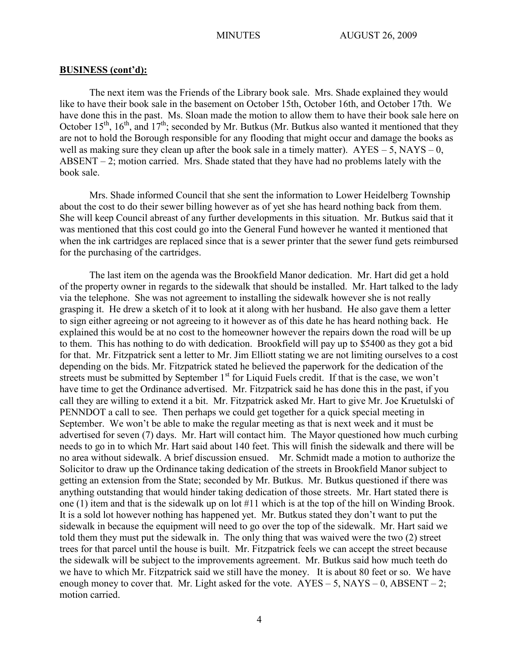The next item was the Friends of the Library book sale. Mrs. Shade explained they would like to have their book sale in the basement on October 15th, October 16th, and October 17th. We have done this in the past. Ms. Sloan made the motion to allow them to have their book sale here on October 15<sup>th</sup>, 16<sup>th</sup>, and 17<sup>th</sup>; seconded by Mr. Butkus (Mr. Butkus also wanted it mentioned that they are not to hold the Borough responsible for any flooding that might occur and damage the books as well as making sure they clean up after the book sale in a timely matter).  $AYES - 5$ ,  $NAYS - 0$ , ABSENT – 2; motion carried. Mrs. Shade stated that they have had no problems lately with the book sale.

Mrs. Shade informed Council that she sent the information to Lower Heidelberg Township about the cost to do their sewer billing however as of yet she has heard nothing back from them. She will keep Council abreast of any further developments in this situation. Mr. Butkus said that it was mentioned that this cost could go into the General Fund however he wanted it mentioned that when the ink cartridges are replaced since that is a sewer printer that the sewer fund gets reimbursed for the purchasing of the cartridges.

The last item on the agenda was the Brookfield Manor dedication. Mr. Hart did get a hold of the property owner in regards to the sidewalk that should be installed. Mr. Hart talked to the lady via the telephone. She was not agreement to installing the sidewalk however she is not really grasping it. He drew a sketch of it to look at it along with her husband. He also gave them a letter to sign either agreeing or not agreeing to it however as of this date he has heard nothing back. He explained this would be at no cost to the homeowner however the repairs down the road will be up to them. This has nothing to do with dedication. Brookfield will pay up to \$5400 as they got a bid for that. Mr. Fitzpatrick sent a letter to Mr. Jim Elliott stating we are not limiting ourselves to a cost depending on the bids. Mr. Fitzpatrick stated he believed the paperwork for the dedication of the streets must be submitted by September  $1<sup>st</sup>$  for Liquid Fuels credit. If that is the case, we won't have time to get the Ordinance advertised. Mr. Fitzpatrick said he has done this in the past, if you call they are willing to extend it a bit. Mr. Fitzpatrick asked Mr. Hart to give Mr. Joe Kruetulski of PENNDOT a call to see. Then perhaps we could get together for a quick special meeting in September. We won't be able to make the regular meeting as that is next week and it must be advertised for seven (7) days. Mr. Hart will contact him. The Mayor questioned how much curbing needs to go in to which Mr. Hart said about 140 feet. This will finish the sidewalk and there will be no area without sidewalk. A brief discussion ensued. Mr. Schmidt made a motion to authorize the Solicitor to draw up the Ordinance taking dedication of the streets in Brookfield Manor subject to getting an extension from the State; seconded by Mr. Butkus. Mr. Butkus questioned if there was anything outstanding that would hinder taking dedication of those streets. Mr. Hart stated there is one (1) item and that is the sidewalk up on lot #11 which is at the top of the hill on Winding Brook. It is a sold lot however nothing has happened yet. Mr. Butkus stated they don't want to put the sidewalk in because the equipment will need to go over the top of the sidewalk. Mr. Hart said we told them they must put the sidewalk in. The only thing that was waived were the two (2) street trees for that parcel until the house is built. Mr. Fitzpatrick feels we can accept the street because the sidewalk will be subject to the improvements agreement. Mr. Butkus said how much teeth do we have to which Mr. Fitzpatrick said we still have the money. It is about 80 feet or so. We have enough money to cover that. Mr. Light asked for the vote.  $AYES - 5$ ,  $NAYS - 0$ ,  $ABSENT - 2$ ; motion carried.